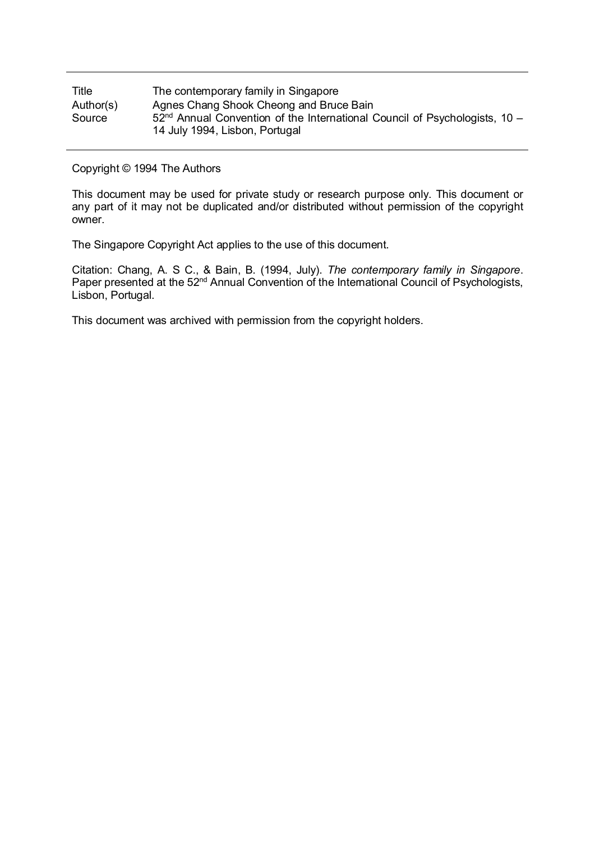| Title     | The contemporary family in Singapore                                                                           |
|-----------|----------------------------------------------------------------------------------------------------------------|
| Author(s) | Agnes Chang Shook Cheong and Bruce Bain                                                                        |
| Source    | $52nd$ Annual Convention of the International Council of Psychologists, 10 –<br>14 July 1994, Lisbon, Portugal |

Copyright © 1994 The Authors

This document may be used for private study or research purpose only. This document or any part of it may not be duplicated and/or distributed without permission of the copyright owner.

The Singapore Copyright Act applies to the use of this document.

Citation: Chang, A. S C., & Bain, B. (1994, July). *The contemporary family in Singapore*. Paper presented at the 52<sup>nd</sup> Annual Convention of the International Council of Psychologists, Lisbon, Portugal.

This document was archived with permission from the copyright holders.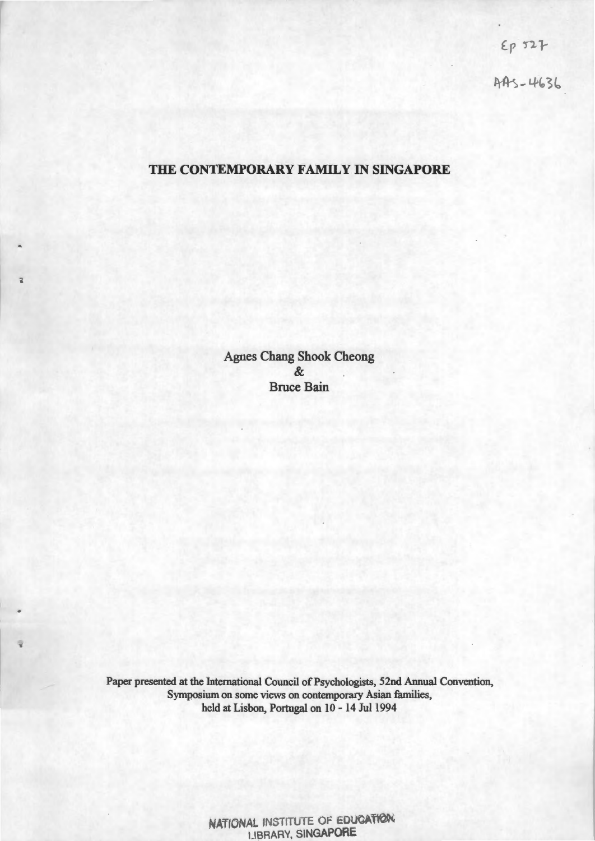$E_{P}$  527<br>AAS-4636

### **THE CONTEMPORARY FAMILY IN SINGAPORE**

Agnes Chang Shook Cheong & Bruce Bain

ä

Paper presented at the International Council of Psychologists, 52nd Annual Convention, Symposium on some views on contemporary Asian families, held at Lisbon, Portugal on 10 - 14 Jul 1994

> NATIONAL INSTITUTE OF EDUCATION LIBRARY, SINGAPORE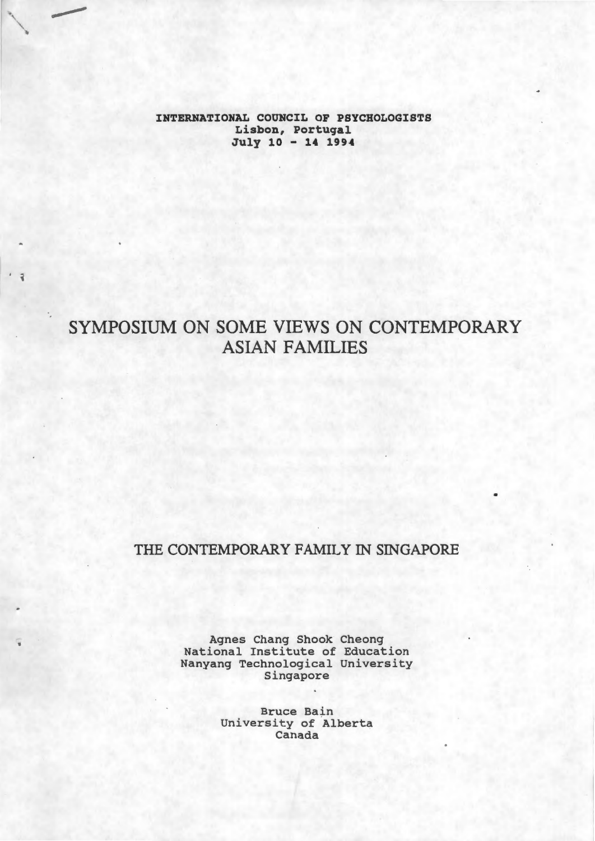**INTERNATIONAL COUNCIL OF PSYCHOLOGISTS**  Lisbon, Portugal July 10 - **14 1994** 

# SYMPOSIUM ON SOME VIEWS ON CONTEMPORARY ASIAN FAMILIES

'

## THE CONTEMPORARY FAMILY IN SINGAPORE

Agnes Chang Shook Cheong National Institute of Education Nanyang Technological University Singapore

> Bruce Bain University of Alberta Canada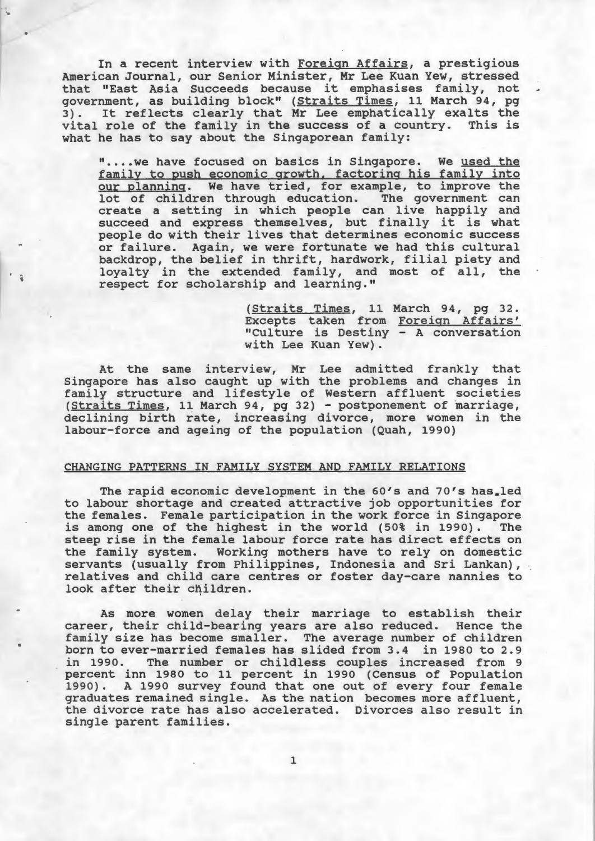In a recent interview with Foreign Affairs, a prestigious American Journal, our Senior Minister, Mr Lee Kuan Yew, stressed American Journal, our Senior Minister, Mr Lee Kuan Tew, Stressed<br>that "East Asia Succeeds because it emphasises family, not government, as building block" (Straits Times, 11 March 94, pg government, as building block (Straits limes, if haldn 94, pg). It reflects clearly that Mr Lee emphatically exalts the vital role of the family in the success of a country. This is what he has to say about the Singaporean family:

..

i

".... we have focused on basics in Singapore. We used the family to push economic growth, factoring his family into our planning. We have tried, for example, to improve the lot of children through education. The government can lot of children through education. create a setting in which people can live happily and succeed and express themselves, but finally it is what people do with their lives that determines economic success or failure. Again, we were fortunate we had this cultural backdrop, the belief in thrift, hardwork, filial piety and loyalty in the extended family, and most of all, the respect for scholarship and learning."

> (Straits Times, 11 March 94, pg 32. Excepts taken from Foreign Affairs' "Culture is Destiny - A conversation with Lee Kuan Yew).

At the same interview, Mr Lee admitted frankly that Singapore has also caught up with the problems and changes in family structure and lifestyle of Western affluent societies (Straits Times, 11 March 94, pg 32) - postponement of marriage, declining birth rate, increasing divorce, more women in the labour-force and ageing of the population (Quah, 1990)

#### CHANGING PATTERNS IN FAMILY SYSTEM AND FAMILY RELATIONS

The rapid economic development in the 60's and 70's has.led to labour shortage and created attractive job opportunities for the females. Female participation in the work force in Singapore is among one of the highest in the world (50% in 1990). The steep rise in the female labour force rate has direct effects on the family system. Working mothers have to rely on domestic servants (usually from Philippines, Indonesia and Sri Lankan), relatives and child care centres or foster day-care nannies to look after their children.

As more women delay their marriage to establish their career, their child-bearing years are also reduced. Hence the family size has become smaller. The average number of children born to ever-married females has slided from 3.4 in 1980 to 2.9<br>in 1990. The number or childless couples increased from 9 The number or childless couples increased from 9 percent inn 1980 to 11 percent in 1990 (Census of Population 1990). A 1990 survey found that one out of every four female graduates remained single. As the nation becomes more affluent, the divorce rate has also accelerated. Divorces also result in single parent families.

1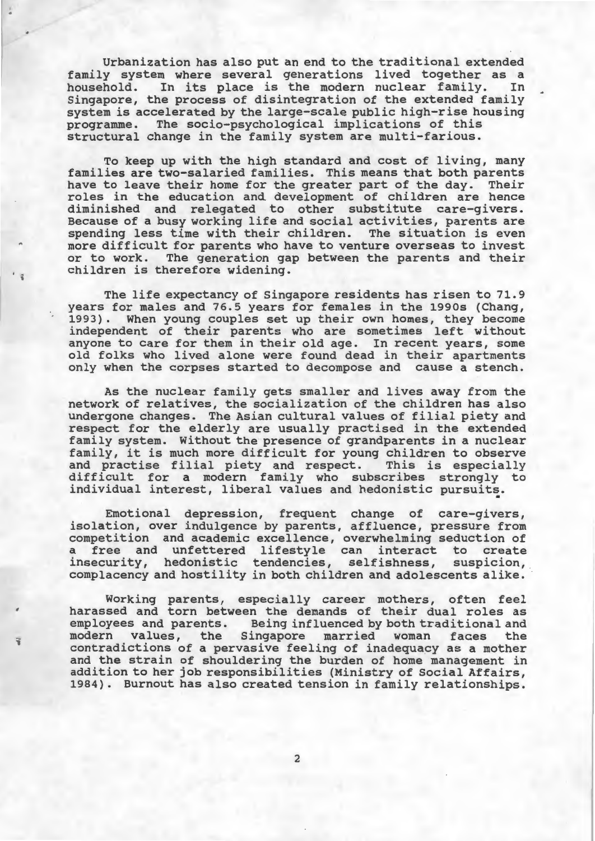Urbanization has also put an end to the traditional extended family system where several generations lived together as a household. In its place is the modern nuclear family. In In its place is the modern nuclear family. Singapore, the process of disintegration of the extended family system is accelerated by the large-scale public high-rise housing<br>programme. The socio-psychological implications of this The socio-psychological implications of this structural change in the family system are multi-farious.

To keep up with the high standard and cost of living, many families are two-salaried families. This means that both parents have to leave their home for the greater part of the day. Their roles in the education and development of children are hence diminished and relegated to other substitute care-givers. Because of a busy working life and social activities, parents are spending less time with their children. The situation is even more difficult for parents who have to venture overseas to invest or to work. The generation gap between the parents and their children is therefore widening.

The life expectancy of Singapore residents has risen to 71. 9 years for males and 76.5 years for females in the 1990s (Chang, 1993). When young couples set up their own homes, they become independent of their parents who are sometimes left without anyone to care for them in their old age. In recent years, some old folks who lived alone were found dead in their apartments only when the corpses started to decompose and cause a stench.

As the nuclear family gets smaller and lives away from the network of relatives, the socialization of the children has also undergone changes. The Asian cultural values of filial piety and respect for the elderly are usually practised in the extended family system. Without the presence of grandparents in a nuclear family, it is much more difficult for young children to observe and practise filial piety and respect. This is especially difficult for a modern family who subscribes strongly to individual interest, liberal values and hedonistic pursuits.

Emotional depression, frequent change of care-givers, isolation, over indulgence by parents, affluence, pressure from competition and academic excellence, overwhelming seduction of a free and unfettered lifestyle can interact to create insecurity, hedonistic tendencies, selfishness, suspicion, complacency and hostility in both children and adolescents alike.

Working parents, especially career mothers, often feel harassed and torn between the demands of their dual roles as employees and parents. Being influenced by both traditional and modern values, the Singapore married woman faces the contradictions of a pervasive feeling of inadequacy as a mother and the strain of shouldering the burden of home management in addition to her job responsibilities (Ministry of Social Affairs, 1984) . Burnout has also created tension in family relationships.

..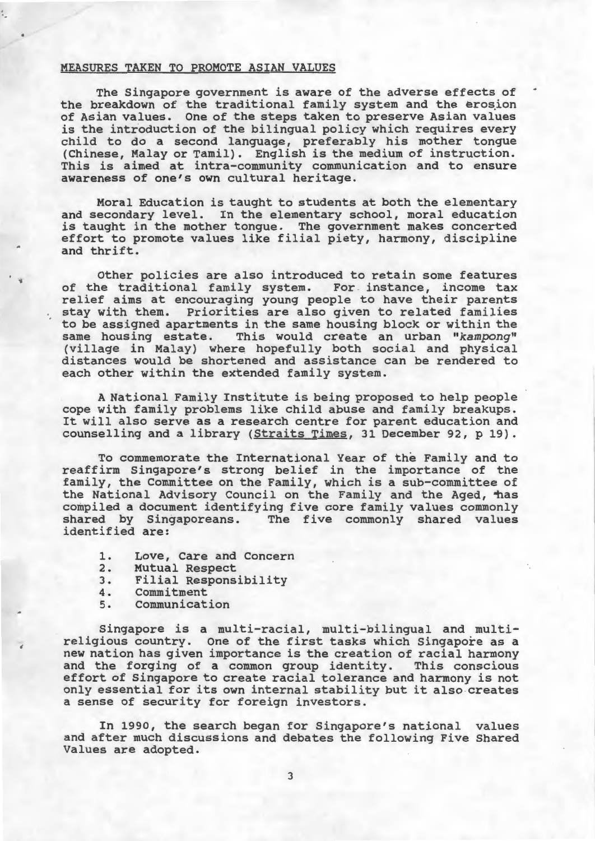#### MEASURES TAKEN TO PROMOTE ASIAN VALUES

The Singapore government is aware of the adverse effects of the breakdown of the traditional family system and the erosion of Asian values. One of the steps taken to preserve Asian values is the introduction of the bilingual policy which requires every child to do a second language, preferably his mother tongue (Chinese, Malay or Tamil). English is the medium of instruction. This is aimed at intra-community communication and to ensure awareness of one's own cultural heritage.

Moral Education is taught to students at both the elementary and secondary level. In the elementary school, moral education is taught in the mother tongue. The government makes concerted effort to promote values like filial piety, harmony, discipline and thrift.

Other policies are also introduced to retain some features of the traditional family system. For instance, income tax relief aims at encouraging young people to have their parents stay with them. Priorities are also given to related families to be assigned apartments in the same housing block or within the same housing estate. This would create an urban *"kampong"*  (village in Malay) where. hopefully both social and physical distances would be shortened and assistance can be rendered to each other within the extended family system.

A National Family Institute is being proposed to help people cope with family problems like child abuse and family breakups. It will also serve as a research centre for parent education and counselling and a library (Straits Times, 31 December 92, p 19).

To commemorate the International Year of the Family and to reaffirm Singapore's strong belief in the importance of the family, the Committee on the Family, which is a sub-committee of the National Advisory Council on the Family and the Aged, thas compiled a document identifying five core family values commonly shared by Singaporeans. The five commonly shared values identified are:

- 1. Love, Care and Concern
- 2. Mutual Respect<br>3. Filial Respons
- 3. Filial Responsibility
- 4. Commitment<br>5. Communicat

'

'

Communication

Singapore is a multi-racial, multi-bilingual and multireligious country. One of the first tasks which Singapore as a new nation has given importance is the creation of racial harmony and the forging of a common group identity. This conscious effort of Singapore to create racial tolerance and harmony is not only essential for its own internal stability but it also creates a sense of security for foreign investors.

In 1990, the search began for Singapore's national values and after much discussions and debates the following Five Shared Values are adopted.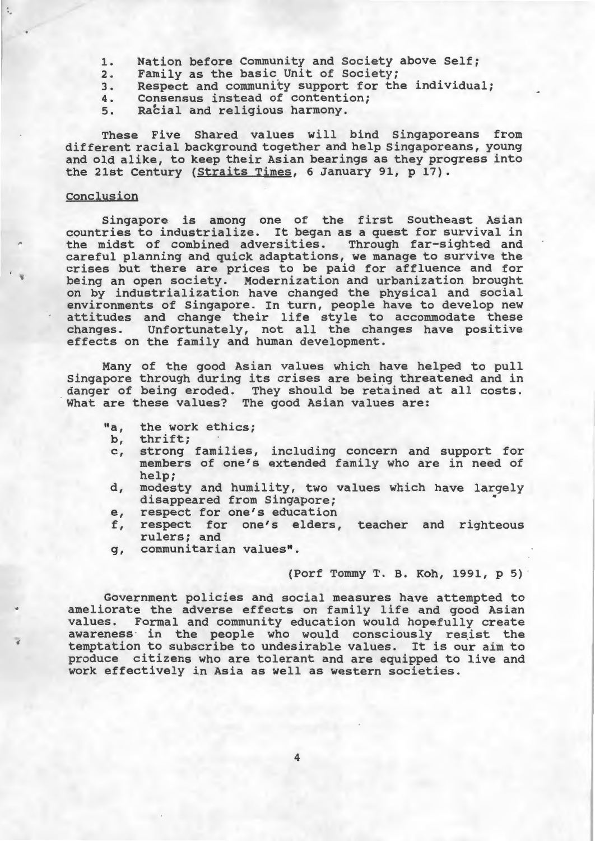- 1. Nation before Community and Society above Self;<br>2. Family as the basic Unit of Society;
- 2. Family as the basic Unit of Society;<br>3. Respect and community support for th
- 3. Respect and community support for the individual;<br>4. Consensus instead of contention;
- 4. Consensus instead of contention;<br>5. Racial and religious harmony.
- Racial and religious harmony.

These Five Shared values will bind Singaporeans from different racial background together and help Singaporeans, young and old alike, to keep their Asian bearings as they progress into the 21st Century (Straits Times, 6 January 91, p 17).

#### Conclusion

Singapore is among one of the first Southeast Asian countries to industrialize. It began as a quest for survival in the midst of combined adversities. Through far-sighted and careful planning and quick adaptations, we manage to survive the crises but there are prices to be paid for affluence and for being an open society. Modernization and urbanization brought on by industrialization have changed the physical and social environments of Singapore. In turn, people have to develop new attitudes and change their life style to accommodate these changes. Unfortunately, not all the changes have positive effects on the family and human development.

Many of the good Asian values which have helped to pull Singapore through during its crises are being threatened and in danger of being eroded. They should be retained at all costs. What are these values? The good Asian values are:

- "a, the work ethics;<br>b, thrift;
- b, thrift;<br>c, strong
- strong families, including concern and support for members of one's extended family who are in need of help;
- d, modesty and humility, two values which have largely disappeared from Singapore; •
- e, respect for one's education
- f, respect for one's elders, teacher and righteous rulers; and
- g, communitarian values".

#### (Porf Tommy T. B. Koh, 1991, p 5)

Government policies and social measures have attempted to ameliorate the adverse effects on family life and good Asian values. Formal and community education would hopefully create awareness in the people who would consciously resist the temptation to subscribe to undesirable values. It is our aim to produce citizens who are tolerant and are equipped to live and work effectively in Asia as well as western societies.